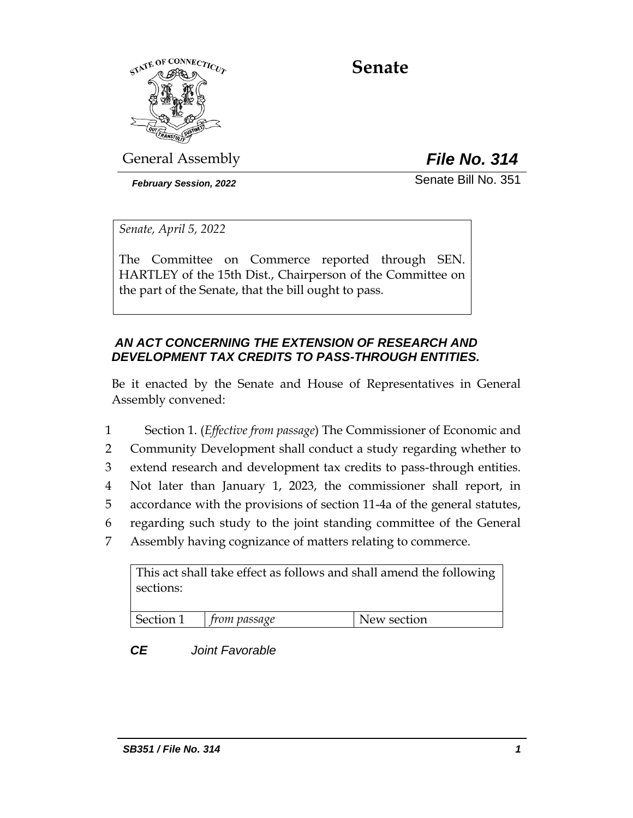

# **Senate**

General Assembly *File No. 314*

*February Session, 2022* Senate Bill No. 351

*Senate, April 5, 2022*

The Committee on Commerce reported through SEN. HARTLEY of the 15th Dist., Chairperson of the Committee on the part of the Senate, that the bill ought to pass.

# *AN ACT CONCERNING THE EXTENSION OF RESEARCH AND DEVELOPMENT TAX CREDITS TO PASS-THROUGH ENTITIES.*

Be it enacted by the Senate and House of Representatives in General Assembly convened:

 Section 1. (*Effective from passage*) The Commissioner of Economic and Community Development shall conduct a study regarding whether to extend research and development tax credits to pass-through entities. Not later than January 1, 2023, the commissioner shall report, in accordance with the provisions of section 11-4a of the general statutes, regarding such study to the joint standing committee of the General Assembly having cognizance of matters relating to commerce.

| This act shall take effect as follows and shall amend the following<br>sections: |              |             |  |  |
|----------------------------------------------------------------------------------|--------------|-------------|--|--|
| Section 1                                                                        | from passage | New section |  |  |

# *CE Joint Favorable*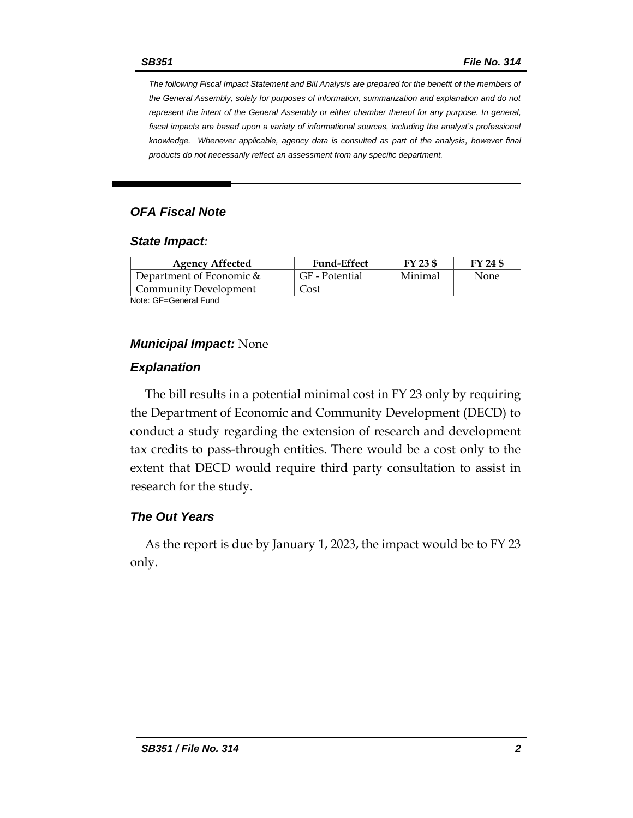*The following Fiscal Impact Statement and Bill Analysis are prepared for the benefit of the members of the General Assembly, solely for purposes of information, summarization and explanation and do not represent the intent of the General Assembly or either chamber thereof for any purpose. In general,*  fiscal impacts are based upon a variety of informational sources, including the analyst's professional *knowledge. Whenever applicable, agency data is consulted as part of the analysis, however final products do not necessarily reflect an assessment from any specific department.*

## *OFA Fiscal Note*

#### *State Impact:*

| <b>Agency Affected</b>      | <b>Fund-Effect</b> | FY 23 \$ | FY 24 \$ |
|-----------------------------|--------------------|----------|----------|
| Department of Economic $\&$ | GF - Potential     | Minimal  | None     |
| Community Development       | Cost               |          |          |
| Note: GF=General Fund       |                    |          |          |

### *Municipal Impact:* None

#### *Explanation*

The bill results in a potential minimal cost in FY 23 only by requiring the Department of Economic and Community Development (DECD) to conduct a study regarding the extension of research and development tax credits to pass-through entities. There would be a cost only to the extent that DECD would require third party consultation to assist in research for the study.

## *The Out Years*

As the report is due by January 1, 2023, the impact would be to FY 23 only.